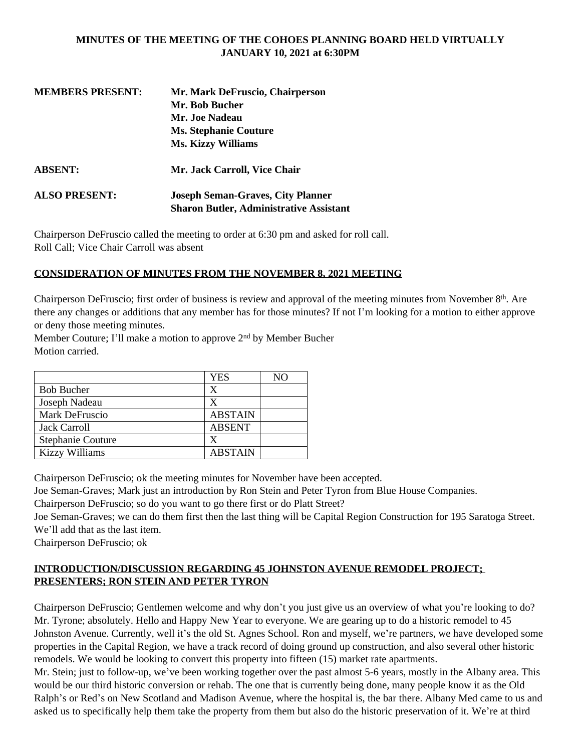### **MINUTES OF THE MEETING OF THE COHOES PLANNING BOARD HELD VIRTUALLY JANUARY 10, 2021 at 6:30PM**

| <b>MEMBERS PRESENT:</b> | Mr. Mark DeFruscio, Chairperson                                                            |  |
|-------------------------|--------------------------------------------------------------------------------------------|--|
|                         | Mr. Bob Bucher                                                                             |  |
|                         | Mr. Joe Nadeau                                                                             |  |
|                         | <b>Ms. Stephanie Couture</b>                                                               |  |
|                         | <b>Ms. Kizzy Williams</b>                                                                  |  |
| <b>ABSENT:</b>          | Mr. Jack Carroll, Vice Chair                                                               |  |
| <b>ALSO PRESENT:</b>    | <b>Joseph Seman-Graves, City Planner</b><br><b>Sharon Butler, Administrative Assistant</b> |  |
|                         |                                                                                            |  |

Chairperson DeFruscio called the meeting to order at 6:30 pm and asked for roll call. Roll Call; Vice Chair Carroll was absent

### **CONSIDERATION OF MINUTES FROM THE NOVEMBER 8, 2021 MEETING**

Chairperson DeFruscio; first order of business is review and approval of the meeting minutes from November 8th. Are there any changes or additions that any member has for those minutes? If not I'm looking for a motion to either approve or deny those meeting minutes.

Member Couture; I'll make a motion to approve 2nd by Member Bucher Motion carried.

|                          | <b>YES</b>     | NΟ |
|--------------------------|----------------|----|
| <b>Bob Bucher</b>        | X              |    |
| Joseph Nadeau            | X              |    |
| Mark DeFruscio           | <b>ABSTAIN</b> |    |
| Jack Carroll             | <b>ABSENT</b>  |    |
| <b>Stephanie Couture</b> | X              |    |
| <b>Kizzy Williams</b>    | <b>ABSTAIN</b> |    |

Chairperson DeFruscio; ok the meeting minutes for November have been accepted.

Joe Seman-Graves; Mark just an introduction by Ron Stein and Peter Tyron from Blue House Companies.

Chairperson DeFruscio; so do you want to go there first or do Platt Street?

Joe Seman-Graves; we can do them first then the last thing will be Capital Region Construction for 195 Saratoga Street. We'll add that as the last item.

Chairperson DeFruscio; ok

### **INTRODUCTION/DISCUSSION REGARDING 45 JOHNSTON AVENUE REMODEL PROJECT; PRESENTERS; RON STEIN AND PETER TYRON**

Chairperson DeFruscio; Gentlemen welcome and why don't you just give us an overview of what you're looking to do? Mr. Tyrone; absolutely. Hello and Happy New Year to everyone. We are gearing up to do a historic remodel to 45 Johnston Avenue. Currently, well it's the old St. Agnes School. Ron and myself, we're partners, we have developed some properties in the Capital Region, we have a track record of doing ground up construction, and also several other historic remodels. We would be looking to convert this property into fifteen (15) market rate apartments.

Mr. Stein; just to follow-up, we've been working together over the past almost 5-6 years, mostly in the Albany area. This would be our third historic conversion or rehab. The one that is currently being done, many people know it as the Old Ralph's or Red's on New Scotland and Madison Avenue, where the hospital is, the bar there. Albany Med came to us and asked us to specifically help them take the property from them but also do the historic preservation of it. We're at third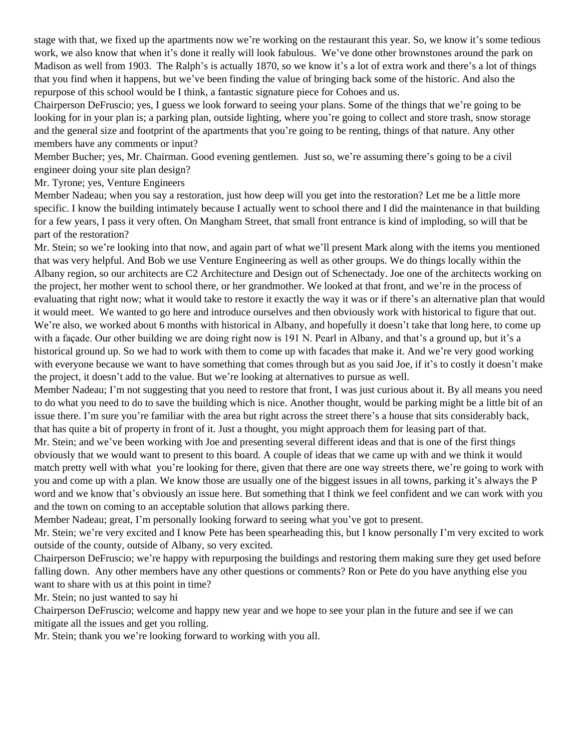stage with that, we fixed up the apartments now we're working on the restaurant this year. So, we know it's some tedious work, we also know that when it's done it really will look fabulous. We've done other brownstones around the park on Madison as well from 1903. The Ralph's is actually 1870, so we know it's a lot of extra work and there's a lot of things that you find when it happens, but we've been finding the value of bringing back some of the historic. And also the repurpose of this school would be I think, a fantastic signature piece for Cohoes and us.

Chairperson DeFruscio; yes, I guess we look forward to seeing your plans. Some of the things that we're going to be looking for in your plan is; a parking plan, outside lighting, where you're going to collect and store trash, snow storage and the general size and footprint of the apartments that you're going to be renting, things of that nature. Any other members have any comments or input?

Member Bucher; yes, Mr. Chairman. Good evening gentlemen. Just so, we're assuming there's going to be a civil engineer doing your site plan design?

Mr. Tyrone; yes, Venture Engineers

Member Nadeau; when you say a restoration, just how deep will you get into the restoration? Let me be a little more specific. I know the building intimately because I actually went to school there and I did the maintenance in that building for a few years, I pass it very often. On Mangham Street, that small front entrance is kind of imploding, so will that be part of the restoration?

Mr. Stein; so we're looking into that now, and again part of what we'll present Mark along with the items you mentioned that was very helpful. And Bob we use Venture Engineering as well as other groups. We do things locally within the Albany region, so our architects are C2 Architecture and Design out of Schenectady. Joe one of the architects working on the project, her mother went to school there, or her grandmother. We looked at that front, and we're in the process of evaluating that right now; what it would take to restore it exactly the way it was or if there's an alternative plan that would it would meet. We wanted to go here and introduce ourselves and then obviously work with historical to figure that out. We're also, we worked about 6 months with historical in Albany, and hopefully it doesn't take that long here, to come up with a façade. Our other building we are doing right now is 191 N. Pearl in Albany, and that's a ground up, but it's a historical ground up. So we had to work with them to come up with facades that make it. And we're very good working with everyone because we want to have something that comes through but as you said Joe, if it's to costly it doesn't make the project, it doesn't add to the value. But we're looking at alternatives to pursue as well.

Member Nadeau; I'm not suggesting that you need to restore that front, I was just curious about it. By all means you need to do what you need to do to save the building which is nice. Another thought, would be parking might be a little bit of an issue there. I'm sure you're familiar with the area but right across the street there's a house that sits considerably back, that has quite a bit of property in front of it. Just a thought, you might approach them for leasing part of that.

Mr. Stein; and we've been working with Joe and presenting several different ideas and that is one of the first things obviously that we would want to present to this board. A couple of ideas that we came up with and we think it would match pretty well with what you're looking for there, given that there are one way streets there, we're going to work with you and come up with a plan. We know those are usually one of the biggest issues in all towns, parking it's always the P word and we know that's obviously an issue here. But something that I think we feel confident and we can work with you and the town on coming to an acceptable solution that allows parking there.

Member Nadeau; great, I'm personally looking forward to seeing what you've got to present.

Mr. Stein; we're very excited and I know Pete has been spearheading this, but I know personally I'm very excited to work outside of the county, outside of Albany, so very excited.

Chairperson DeFruscio; we're happy with repurposing the buildings and restoring them making sure they get used before falling down. Any other members have any other questions or comments? Ron or Pete do you have anything else you want to share with us at this point in time?

Mr. Stein; no just wanted to say hi

Chairperson DeFruscio; welcome and happy new year and we hope to see your plan in the future and see if we can mitigate all the issues and get you rolling.

Mr. Stein; thank you we're looking forward to working with you all.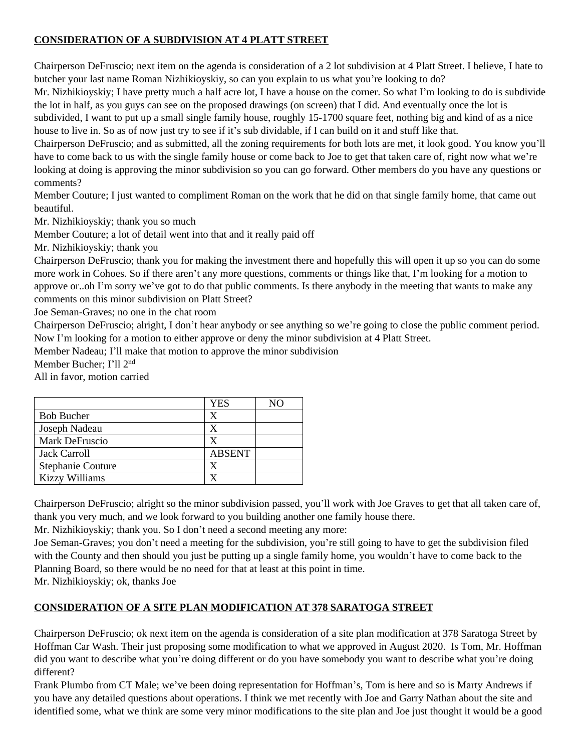# **CONSIDERATION OF A SUBDIVISION AT 4 PLATT STREET**

Chairperson DeFruscio; next item on the agenda is consideration of a 2 lot subdivision at 4 Platt Street. I believe, I hate to butcher your last name Roman Nizhikioyskiy, so can you explain to us what you're looking to do?

Mr. Nizhikioyskiy; I have pretty much a half acre lot, I have a house on the corner. So what I'm looking to do is subdivide the lot in half, as you guys can see on the proposed drawings (on screen) that I did. And eventually once the lot is subdivided, I want to put up a small single family house, roughly 15-1700 square feet, nothing big and kind of as a nice house to live in. So as of now just try to see if it's sub dividable, if I can build on it and stuff like that.

Chairperson DeFruscio; and as submitted, all the zoning requirements for both lots are met, it look good. You know you'll have to come back to us with the single family house or come back to Joe to get that taken care of, right now what we're looking at doing is approving the minor subdivision so you can go forward. Other members do you have any questions or comments?

Member Couture; I just wanted to compliment Roman on the work that he did on that single family home, that came out beautiful.

Mr. Nizhikioyskiy; thank you so much

Member Couture; a lot of detail went into that and it really paid off

Mr. Nizhikioyskiy; thank you

Chairperson DeFruscio; thank you for making the investment there and hopefully this will open it up so you can do some more work in Cohoes. So if there aren't any more questions, comments or things like that, I'm looking for a motion to approve or..oh I'm sorry we've got to do that public comments. Is there anybody in the meeting that wants to make any comments on this minor subdivision on Platt Street?

Joe Seman-Graves; no one in the chat room

Chairperson DeFruscio; alright, I don't hear anybody or see anything so we're going to close the public comment period. Now I'm looking for a motion to either approve or deny the minor subdivision at 4 Platt Street.

Member Nadeau; I'll make that motion to approve the minor subdivision

Member Bucher; I'll 2nd

All in favor, motion carried

|                       | YES           | NΟ |
|-----------------------|---------------|----|
| <b>Bob Bucher</b>     | x             |    |
| Joseph Nadeau         |               |    |
| Mark DeFruscio        |               |    |
| Jack Carroll          | <b>ABSENT</b> |    |
| Stephanie Couture     |               |    |
| <b>Kizzy Williams</b> |               |    |

Chairperson DeFruscio; alright so the minor subdivision passed, you'll work with Joe Graves to get that all taken care of, thank you very much, and we look forward to you building another one family house there.

Mr. Nizhikioyskiy; thank you. So I don't need a second meeting any more:

Joe Seman-Graves; you don't need a meeting for the subdivision, you're still going to have to get the subdivision filed with the County and then should you just be putting up a single family home, you wouldn't have to come back to the Planning Board, so there would be no need for that at least at this point in time.

Mr. Nizhikioyskiy; ok, thanks Joe

## **CONSIDERATION OF A SITE PLAN MODIFICATION AT 378 SARATOGA STREET**

Chairperson DeFruscio; ok next item on the agenda is consideration of a site plan modification at 378 Saratoga Street by Hoffman Car Wash. Their just proposing some modification to what we approved in August 2020. Is Tom, Mr. Hoffman did you want to describe what you're doing different or do you have somebody you want to describe what you're doing different?

Frank Plumbo from CT Male; we've been doing representation for Hoffman's, Tom is here and so is Marty Andrews if you have any detailed questions about operations. I think we met recently with Joe and Garry Nathan about the site and identified some, what we think are some very minor modifications to the site plan and Joe just thought it would be a good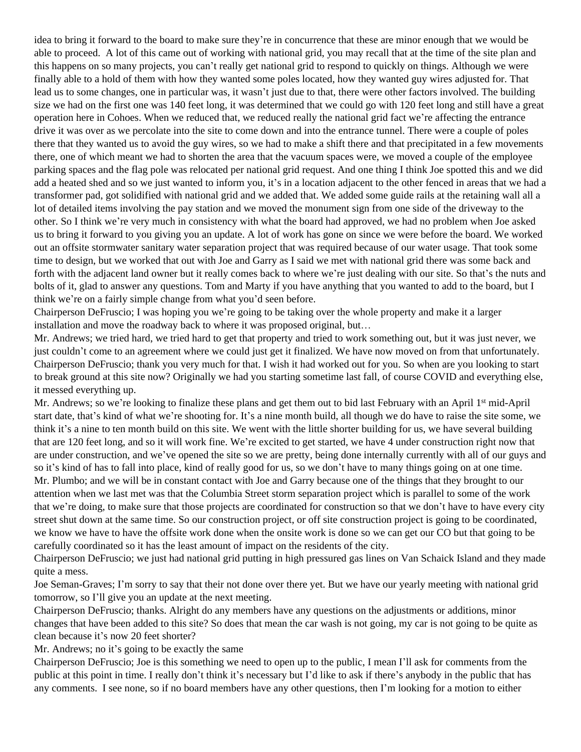idea to bring it forward to the board to make sure they're in concurrence that these are minor enough that we would be able to proceed. A lot of this came out of working with national grid, you may recall that at the time of the site plan and this happens on so many projects, you can't really get national grid to respond to quickly on things. Although we were finally able to a hold of them with how they wanted some poles located, how they wanted guy wires adjusted for. That lead us to some changes, one in particular was, it wasn't just due to that, there were other factors involved. The building size we had on the first one was 140 feet long, it was determined that we could go with 120 feet long and still have a great operation here in Cohoes. When we reduced that, we reduced really the national grid fact we're affecting the entrance drive it was over as we percolate into the site to come down and into the entrance tunnel. There were a couple of poles there that they wanted us to avoid the guy wires, so we had to make a shift there and that precipitated in a few movements there, one of which meant we had to shorten the area that the vacuum spaces were, we moved a couple of the employee parking spaces and the flag pole was relocated per national grid request. And one thing I think Joe spotted this and we did add a heated shed and so we just wanted to inform you, it's in a location adjacent to the other fenced in areas that we had a transformer pad, got solidified with national grid and we added that. We added some guide rails at the retaining wall all a lot of detailed items involving the pay station and we moved the monument sign from one side of the driveway to the other. So I think we're very much in consistency with what the board had approved, we had no problem when Joe asked us to bring it forward to you giving you an update. A lot of work has gone on since we were before the board. We worked out an offsite stormwater sanitary water separation project that was required because of our water usage. That took some time to design, but we worked that out with Joe and Garry as I said we met with national grid there was some back and forth with the adjacent land owner but it really comes back to where we're just dealing with our site. So that's the nuts and bolts of it, glad to answer any questions. Tom and Marty if you have anything that you wanted to add to the board, but I think we're on a fairly simple change from what you'd seen before.

Chairperson DeFruscio; I was hoping you we're going to be taking over the whole property and make it a larger installation and move the roadway back to where it was proposed original, but…

Mr. Andrews; we tried hard, we tried hard to get that property and tried to work something out, but it was just never, we just couldn't come to an agreement where we could just get it finalized. We have now moved on from that unfortunately. Chairperson DeFruscio; thank you very much for that. I wish it had worked out for you. So when are you looking to start to break ground at this site now? Originally we had you starting sometime last fall, of course COVID and everything else, it messed everything up.

Mr. Andrews; so we're looking to finalize these plans and get them out to bid last February with an April 1<sup>st</sup> mid-April start date, that's kind of what we're shooting for. It's a nine month build, all though we do have to raise the site some, we think it's a nine to ten month build on this site. We went with the little shorter building for us, we have several building that are 120 feet long, and so it will work fine. We're excited to get started, we have 4 under construction right now that are under construction, and we've opened the site so we are pretty, being done internally currently with all of our guys and so it's kind of has to fall into place, kind of really good for us, so we don't have to many things going on at one time. Mr. Plumbo; and we will be in constant contact with Joe and Garry because one of the things that they brought to our attention when we last met was that the Columbia Street storm separation project which is parallel to some of the work that we're doing, to make sure that those projects are coordinated for construction so that we don't have to have every city street shut down at the same time. So our construction project, or off site construction project is going to be coordinated, we know we have to have the offsite work done when the onsite work is done so we can get our CO but that going to be carefully coordinated so it has the least amount of impact on the residents of the city.

Chairperson DeFruscio; we just had national grid putting in high pressured gas lines on Van Schaick Island and they made quite a mess.

Joe Seman-Graves; I'm sorry to say that their not done over there yet. But we have our yearly meeting with national grid tomorrow, so I'll give you an update at the next meeting.

Chairperson DeFruscio; thanks. Alright do any members have any questions on the adjustments or additions, minor changes that have been added to this site? So does that mean the car wash is not going, my car is not going to be quite as clean because it's now 20 feet shorter?

Mr. Andrews; no it's going to be exactly the same

Chairperson DeFruscio; Joe is this something we need to open up to the public, I mean I'll ask for comments from the public at this point in time. I really don't think it's necessary but I'd like to ask if there's anybody in the public that has any comments. I see none, so if no board members have any other questions, then I'm looking for a motion to either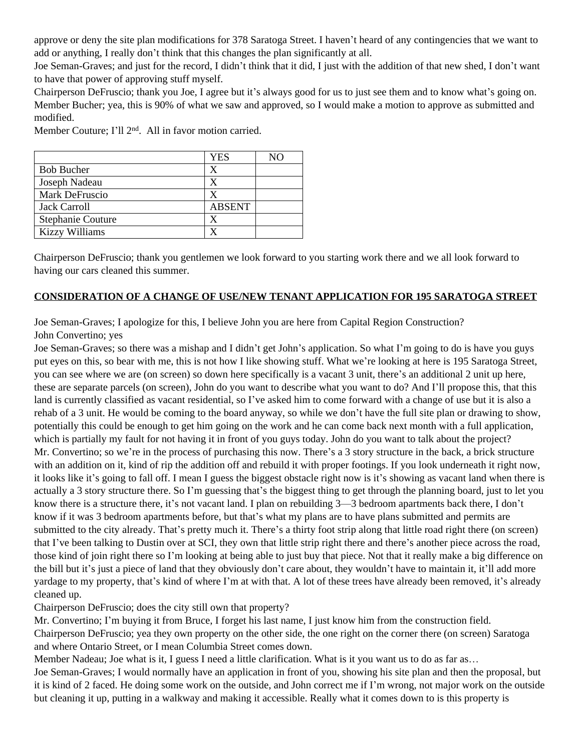approve or deny the site plan modifications for 378 Saratoga Street. I haven't heard of any contingencies that we want to add or anything, I really don't think that this changes the plan significantly at all.

Joe Seman-Graves; and just for the record, I didn't think that it did, I just with the addition of that new shed, I don't want to have that power of approving stuff myself.

Chairperson DeFruscio; thank you Joe, I agree but it's always good for us to just see them and to know what's going on. Member Bucher; yea, this is 90% of what we saw and approved, so I would make a motion to approve as submitted and modified.

YES | NO Bob Bucher X Joseph Nadeau X Mark DeFruscio X Jack Carroll ABSENT Stephanie Couture X Kizzy Williams X

Member Couture; I'll 2nd. All in favor motion carried.

Chairperson DeFruscio; thank you gentlemen we look forward to you starting work there and we all look forward to having our cars cleaned this summer.

### **CONSIDERATION OF A CHANGE OF USE/NEW TENANT APPLICATION FOR 195 SARATOGA STREET**

Joe Seman-Graves; I apologize for this, I believe John you are here from Capital Region Construction? John Convertino; yes

Joe Seman-Graves; so there was a mishap and I didn't get John's application. So what I'm going to do is have you guys put eyes on this, so bear with me, this is not how I like showing stuff. What we're looking at here is 195 Saratoga Street, you can see where we are (on screen) so down here specifically is a vacant 3 unit, there's an additional 2 unit up here, these are separate parcels (on screen), John do you want to describe what you want to do? And I'll propose this, that this land is currently classified as vacant residential, so I've asked him to come forward with a change of use but it is also a rehab of a 3 unit. He would be coming to the board anyway, so while we don't have the full site plan or drawing to show, potentially this could be enough to get him going on the work and he can come back next month with a full application, which is partially my fault for not having it in front of you guys today. John do you want to talk about the project? Mr. Convertino; so we're in the process of purchasing this now. There's a 3 story structure in the back, a brick structure with an addition on it, kind of rip the addition off and rebuild it with proper footings. If you look underneath it right now, it looks like it's going to fall off. I mean I guess the biggest obstacle right now is it's showing as vacant land when there is actually a 3 story structure there. So I'm guessing that's the biggest thing to get through the planning board, just to let you know there is a structure there, it's not vacant land. I plan on rebuilding 3—3 bedroom apartments back there, I don't know if it was 3 bedroom apartments before, but that's what my plans are to have plans submitted and permits are submitted to the city already. That's pretty much it. There's a thirty foot strip along that little road right there (on screen) that I've been talking to Dustin over at SCI, they own that little strip right there and there's another piece across the road, those kind of join right there so I'm looking at being able to just buy that piece. Not that it really make a big difference on the bill but it's just a piece of land that they obviously don't care about, they wouldn't have to maintain it, it'll add more yardage to my property, that's kind of where I'm at with that. A lot of these trees have already been removed, it's already cleaned up.

Chairperson DeFruscio; does the city still own that property?

Mr. Convertino; I'm buying it from Bruce, I forget his last name, I just know him from the construction field. Chairperson DeFruscio; yea they own property on the other side, the one right on the corner there (on screen) Saratoga and where Ontario Street, or I mean Columbia Street comes down.

Member Nadeau; Joe what is it, I guess I need a little clarification. What is it you want us to do as far as...

Joe Seman-Graves; I would normally have an application in front of you, showing his site plan and then the proposal, but it is kind of 2 faced. He doing some work on the outside, and John correct me if I'm wrong, not major work on the outside but cleaning it up, putting in a walkway and making it accessible. Really what it comes down to is this property is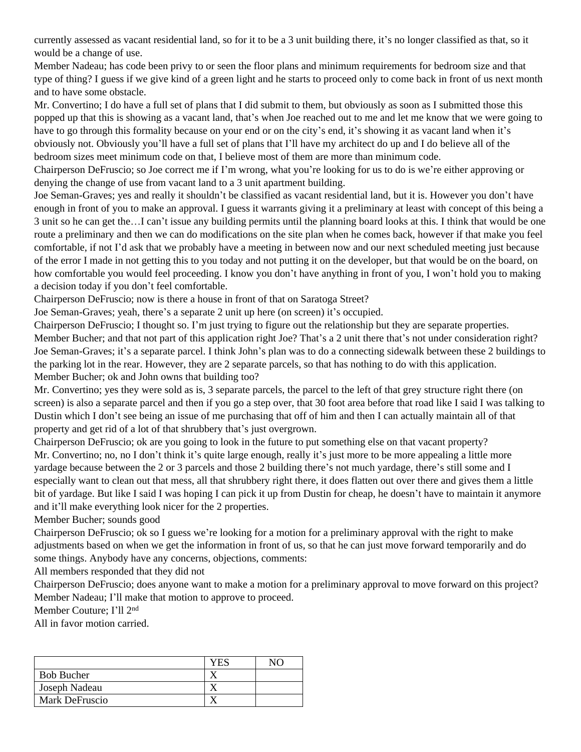currently assessed as vacant residential land, so for it to be a 3 unit building there, it's no longer classified as that, so it would be a change of use.

Member Nadeau; has code been privy to or seen the floor plans and minimum requirements for bedroom size and that type of thing? I guess if we give kind of a green light and he starts to proceed only to come back in front of us next month and to have some obstacle.

Mr. Convertino; I do have a full set of plans that I did submit to them, but obviously as soon as I submitted those this popped up that this is showing as a vacant land, that's when Joe reached out to me and let me know that we were going to have to go through this formality because on your end or on the city's end, it's showing it as vacant land when it's obviously not. Obviously you'll have a full set of plans that I'll have my architect do up and I do believe all of the bedroom sizes meet minimum code on that, I believe most of them are more than minimum code.

Chairperson DeFruscio; so Joe correct me if I'm wrong, what you're looking for us to do is we're either approving or denying the change of use from vacant land to a 3 unit apartment building.

Joe Seman-Graves; yes and really it shouldn't be classified as vacant residential land, but it is. However you don't have enough in front of you to make an approval. I guess it warrants giving it a preliminary at least with concept of this being a 3 unit so he can get the…I can't issue any building permits until the planning board looks at this. I think that would be one route a preliminary and then we can do modifications on the site plan when he comes back, however if that make you feel comfortable, if not I'd ask that we probably have a meeting in between now and our next scheduled meeting just because of the error I made in not getting this to you today and not putting it on the developer, but that would be on the board, on how comfortable you would feel proceeding. I know you don't have anything in front of you, I won't hold you to making a decision today if you don't feel comfortable.

Chairperson DeFruscio; now is there a house in front of that on Saratoga Street?

Joe Seman-Graves; yeah, there's a separate 2 unit up here (on screen) it's occupied.

Chairperson DeFruscio; I thought so. I'm just trying to figure out the relationship but they are separate properties. Member Bucher; and that not part of this application right Joe? That's a 2 unit there that's not under consideration right? Joe Seman-Graves; it's a separate parcel. I think John's plan was to do a connecting sidewalk between these 2 buildings to the parking lot in the rear. However, they are 2 separate parcels, so that has nothing to do with this application. Member Bucher; ok and John owns that building too?

Mr. Convertino; yes they were sold as is, 3 separate parcels, the parcel to the left of that grey structure right there (on screen) is also a separate parcel and then if you go a step over, that 30 foot area before that road like I said I was talking to Dustin which I don't see being an issue of me purchasing that off of him and then I can actually maintain all of that property and get rid of a lot of that shrubbery that's just overgrown.

Chairperson DeFruscio; ok are you going to look in the future to put something else on that vacant property? Mr. Convertino; no, no I don't think it's quite large enough, really it's just more to be more appealing a little more yardage because between the 2 or 3 parcels and those 2 building there's not much yardage, there's still some and I especially want to clean out that mess, all that shrubbery right there, it does flatten out over there and gives them a little bit of yardage. But like I said I was hoping I can pick it up from Dustin for cheap, he doesn't have to maintain it anymore and it'll make everything look nicer for the 2 properties.

Member Bucher; sounds good

Chairperson DeFruscio; ok so I guess we're looking for a motion for a preliminary approval with the right to make adjustments based on when we get the information in front of us, so that he can just move forward temporarily and do some things. Anybody have any concerns, objections, comments:

All members responded that they did not

Chairperson DeFruscio; does anyone want to make a motion for a preliminary approval to move forward on this project? Member Nadeau; I'll make that motion to approve to proceed.

Member Couture; I'll 2nd

All in favor motion carried.

|                   | $\mathbf{H}$ | N <sub>O</sub> |
|-------------------|--------------|----------------|
| <b>Bob Bucher</b> |              |                |
| Joseph Nadeau     |              |                |
| Mark DeFruscio    |              |                |